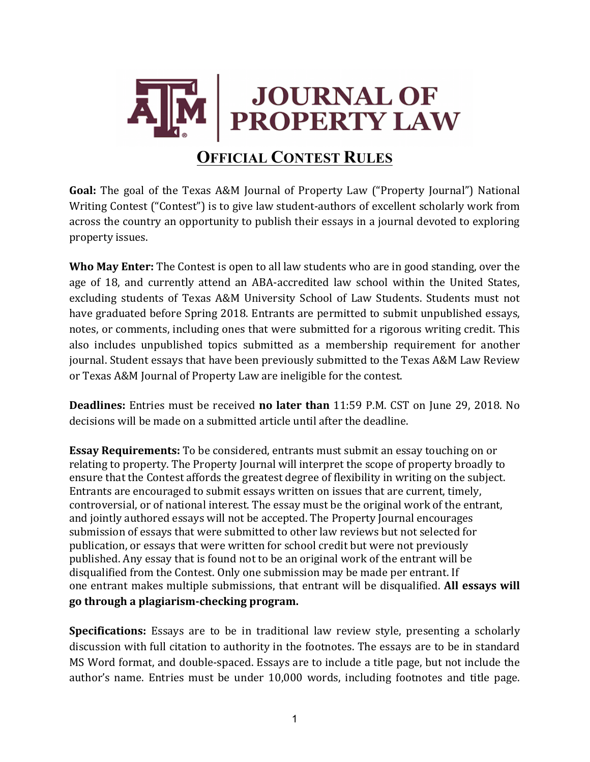

**Goal:** The goal of the Texas A&M Journal of Property Law ("Property Journal") National Writing Contest ("Contest") is to give law student-authors of excellent scholarly work from across the country an opportunity to publish their essays in a journal devoted to exploring property issues.

**Who May Enter:** The Contest is open to all law students who are in good standing, over the age of 18, and currently attend an ABA-accredited law school within the United States, excluding students of Texas A&M University School of Law Students. Students must not have graduated before Spring 2018. Entrants are permitted to submit unpublished essays, notes, or comments, including ones that were submitted for a rigorous writing credit. This also includes unpublished topics submitted as a membership requirement for another journal. Student essays that have been previously submitted to the Texas A&M Law Review or Texas A&M Journal of Property Law are ineligible for the contest.

**Deadlines:** Entries must be received **no later than** 11:59 P.M. CST on June 29, 2018. No decisions will be made on a submitted article until after the deadline.

**Essay Requirements:** To be considered, entrants must submit an essay touching on or relating to property. The Property Journal will interpret the scope of property broadly to ensure that the Contest affords the greatest degree of flexibility in writing on the subject. Entrants are encouraged to submit essays written on issues that are current, timely, controversial, or of national interest. The essay must be the original work of the entrant, and jointly authored essays will not be accepted. The Property Journal encourages submission of essays that were submitted to other law reviews but not selected for publication, or essays that were written for school credit but were not previously published. Any essay that is found not to be an original work of the entrant will be disqualified from the Contest. Only one submission may be made per entrant. If one entrant makes multiple submissions, that entrant will be disqualified. All essays will **go through a plagiarism-checking program.**

**Specifications:** Essays are to be in traditional law review style, presenting a scholarly discussion with full citation to authority in the footnotes. The essays are to be in standard MS Word format, and double-spaced. Essays are to include a title page, but not include the author's name. Entries must be under 10,000 words, including footnotes and title page.